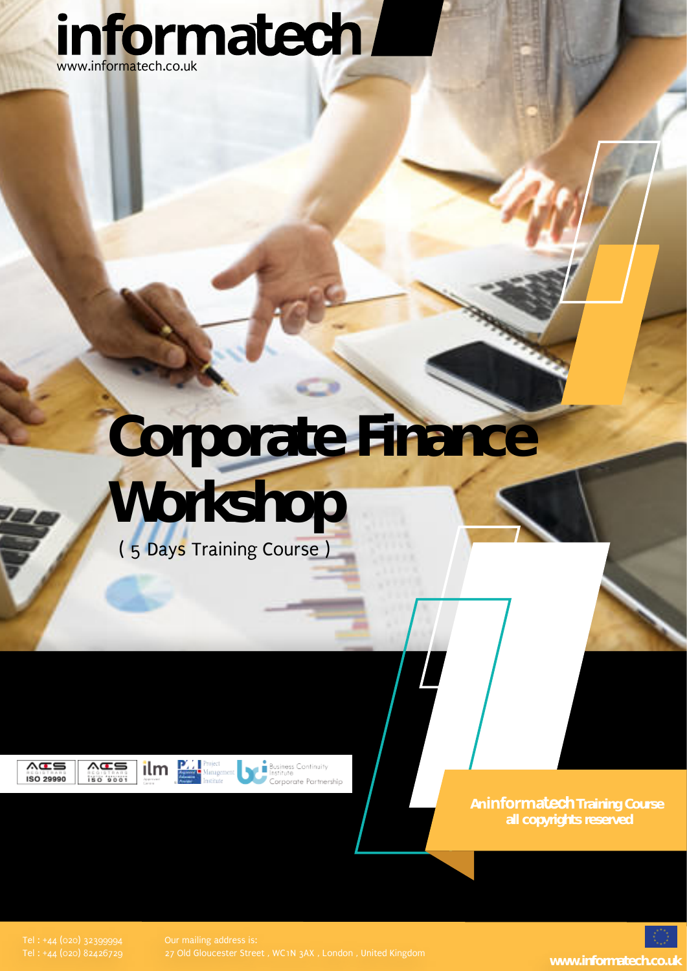

# **Corporate Finance**



**ACS** ISO 29990

∧Œ≡ 180 9001



**Business Continuity**<br>Institute ornorate Partnershin

An **informatech** Training Course **all copyrights reserved**

27 Old Gloucester Street , WC1N 3AX , London , United Kingdom **www.informatech.co.uk**

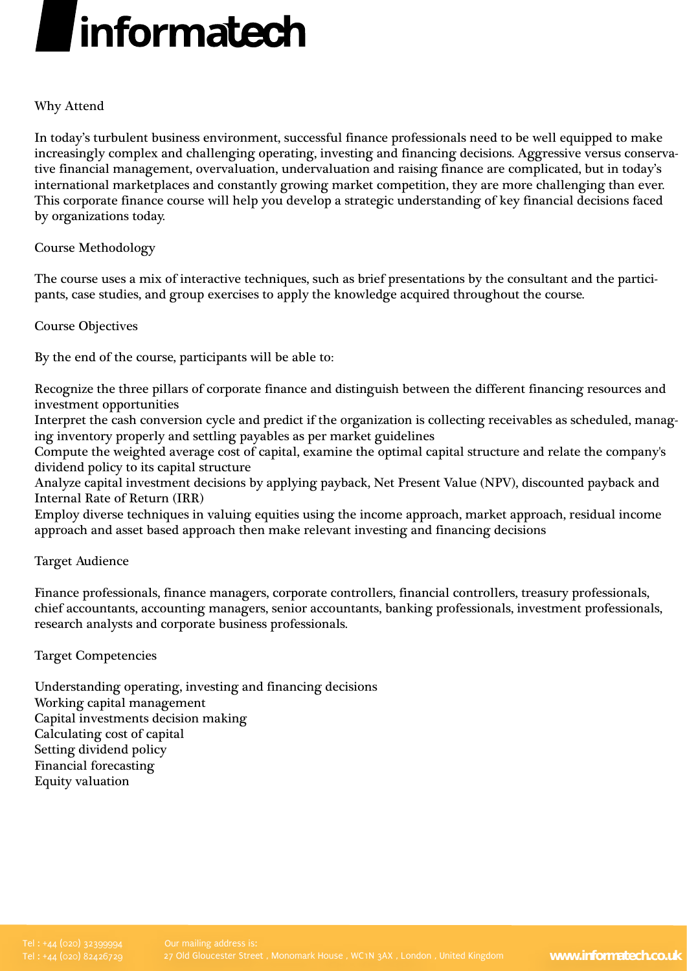## linformatech

### Why Attend

In today's turbulent business environment, successful finance professionals need to be well equipped to make increasingly complex and challenging operating, investing and financing decisions. Aggressive versus conservative financial management, overvaluation, undervaluation and raising finance are complicated, but in today's international marketplaces and constantly growing market competition, they are more challenging than ever. This corporate finance course will help you develop a strategic understanding of key financial decisions faced by organizations today.

### Course Methodology

The course uses a mix of interactive techniques, such as brief presentations by the consultant and the participants, case studies, and group exercises to apply the knowledge acquired throughout the course.

Course Objectives

By the end of the course, participants will be able to:

Recognize the three pillars of corporate finance and distinguish between the different financing resources and investment opportunities

Interpret the cash conversion cycle and predict if the organization is collecting receivables as scheduled, managing inventory properly and settling payables as per market guidelines

Compute the weighted average cost of capital, examine the optimal capital structure and relate the company's dividend policy to its capital structure

Analyze capital investment decisions by applying payback, Net Present Value (NPV), discounted payback and Internal Rate of Return (IRR)

Employ diverse techniques in valuing equities using the income approach, market approach, residual income approach and asset based approach then make relevant investing and financing decisions

Target Audience

Finance professionals, finance managers, corporate controllers, financial controllers, treasury professionals, chief accountants, accounting managers, senior accountants, banking professionals, investment professionals, research analysts and corporate business professionals.

Target Competencies

Understanding operating, investing and financing decisions Working capital management Capital investments decision making Calculating cost of capital Setting dividend policy Financial forecasting Equity valuation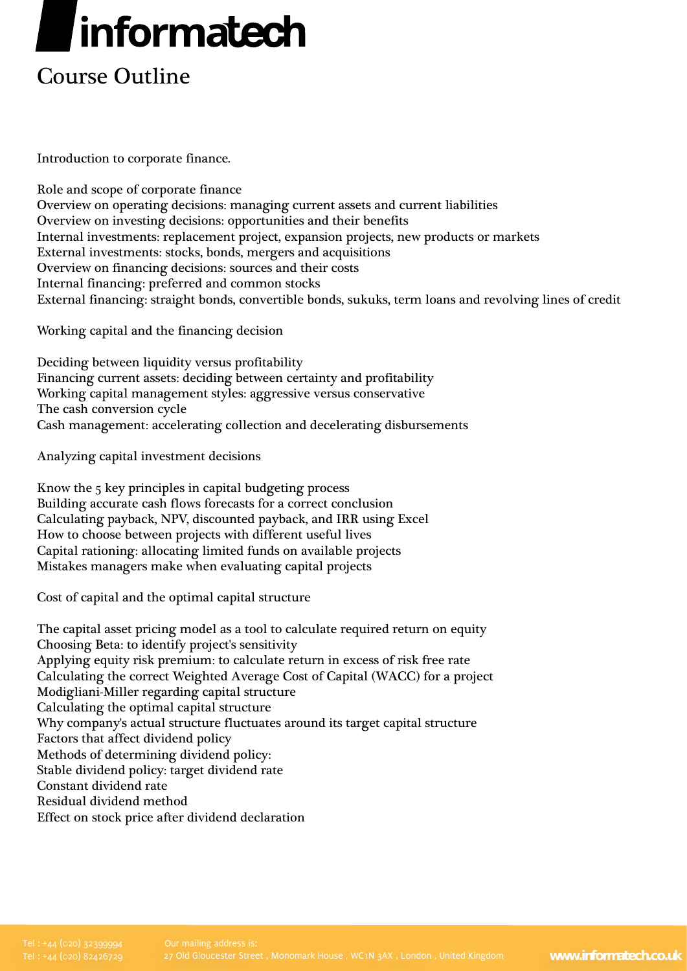# linformatech

### Course Outline

Introduction to corporate finance.

Role and scope of corporate finance Overview on operating decisions: managing current assets and current liabilities Overview on investing decisions: opportunities and their benefits Internal investments: replacement project, expansion projects, new products or markets External investments: stocks, bonds, mergers and acquisitions Overview on financing decisions: sources and their costs Internal financing: preferred and common stocks External financing: straight bonds, convertible bonds, sukuks, term loans and revolving lines of credit

Working capital and the financing decision

Deciding between liquidity versus profitability Financing current assets: deciding between certainty and profitability Working capital management styles: aggressive versus conservative The cash conversion cycle Cash management: accelerating collection and decelerating disbursements

Analyzing capital investment decisions

Know the 5 key principles in capital budgeting process Building accurate cash flows forecasts for a correct conclusion Calculating payback, NPV, discounted payback, and IRR using Excel How to choose between projects with different useful lives Capital rationing: allocating limited funds on available projects Mistakes managers make when evaluating capital projects

Cost of capital and the optimal capital structure

The capital asset pricing model as a tool to calculate required return on equity Choosing Beta: to identify project's sensitivity Applying equity risk premium: to calculate return in excess of risk free rate Calculating the correct Weighted Average Cost of Capital (WACC) for a project Modigliani-Miller regarding capital structure Calculating the optimal capital structure Why company's actual structure fluctuates around its target capital structure Factors that affect dividend policy Methods of determining dividend policy: Stable dividend policy: target dividend rate Constant dividend rate Residual dividend method Effect on stock price after dividend declaration